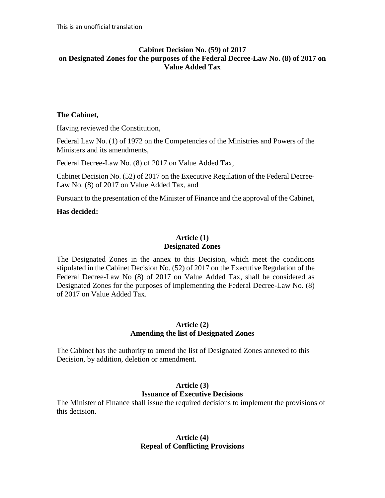## **Cabinet Decision No. (59) of 2017 on Designated Zones for the purposes of the Federal Decree-Law No. (8) of 2017 on Value Added Tax**

### **The Cabinet,**

Having reviewed the Constitution,

Federal Law No. (1) of 1972 on the Competencies of the Ministries and Powers of the Ministers and its amendments,

Federal Decree-Law No. (8) of 2017 on Value Added Tax,

Cabinet Decision No. (52) of 2017 on the Executive Regulation of the Federal Decree-Law No. (8) of 2017 on Value Added Tax, and

Pursuant to the presentation of the Minister of Finance and the approval of the Cabinet,

## **Has decided:**

## **Article (1) Designated Zones**

The Designated Zones in the annex to this Decision, which meet the conditions stipulated in the Cabinet Decision No. (52) of 2017 on the Executive Regulation of the Federal Decree-Law No (8) of 2017 on Value Added Tax, shall be considered as Designated Zones for the purposes of implementing the Federal Decree-Law No. (8) of 2017 on Value Added Tax.

#### **Article (2) Amending the list of Designated Zones**

The Cabinet has the authority to amend the list of Designated Zones annexed to this Decision, by addition, deletion or amendment.

# **Article (3)**

## **Issuance of Executive Decisions**

The Minister of Finance shall issue the required decisions to implement the provisions of this decision.

## **Article (4) Repeal of Conflicting Provisions**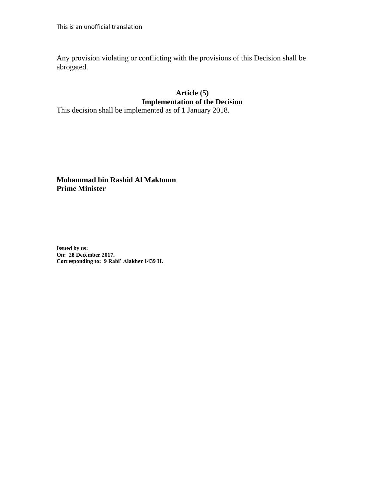Any provision violating or conflicting with the provisions of this Decision shall be abrogated.

# **Article (5) Implementation of the Decision**

This decision shall be implemented as of 1 January 2018.

**Mohammad bin Rashid Al Maktoum Prime Minister**

**Issued by us: On: 28 December 2017. Corresponding to: 9 Rabi' Alakher 1439 H.**